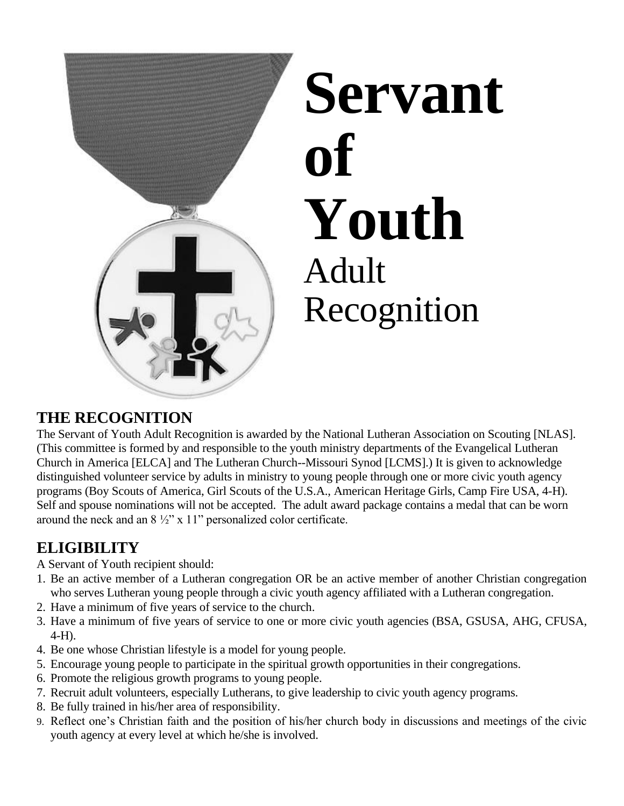

## **THE RECOGNITION**

The Servant of Youth Adult Recognition is awarded by the National Lutheran Association on Scouting [NLAS]. (This committee is formed by and responsible to the youth ministry departments of the Evangelical Lutheran Church in America [ELCA] and The Lutheran Church--Missouri Synod [LCMS].) It is given to acknowledge distinguished volunteer service by adults in ministry to young people through one or more civic youth agency programs (Boy Scouts of America, Girl Scouts of the U.S.A., American Heritage Girls, Camp Fire USA, 4-H). Self and spouse nominations will not be accepted. The adult award package contains a medal that can be worn around the neck and an  $8\frac{1}{2}$ " x 11" personalized color certificate.

## **ELIGIBILITY**

A Servant of Youth recipient should:

- 1. Be an active member of a Lutheran congregation OR be an active member of another Christian congregation who serves Lutheran young people through a civic youth agency affiliated with a Lutheran congregation.
- 2. Have a minimum of five years of service to the church.
- 3. Have a minimum of five years of service to one or more civic youth agencies (BSA, GSUSA, AHG, CFUSA, 4-H).
- 4. Be one whose Christian lifestyle is a model for young people.
- 5. Encourage young people to participate in the spiritual growth opportunities in their congregations.
- 6. Promote the religious growth programs to young people.
- 7. Recruit adult volunteers, especially Lutherans, to give leadership to civic youth agency programs.
- 8. Be fully trained in his/her area of responsibility.
- 9. Reflect one's Christian faith and the position of his/her church body in discussions and meetings of the civic youth agency at every level at which he/she is involved.